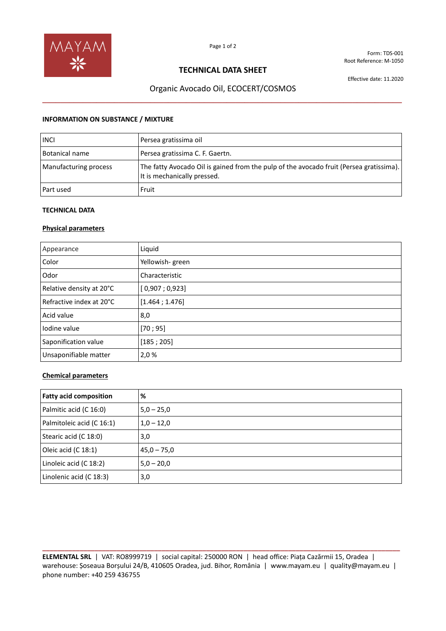

Form: TDS-001 Root Reference: M-1050

## **TECHNICAL DATA SHEET**

Effective date: 11.2020

# Organic Avocado Oil, ECOCERT/COSMOS **\_\_\_\_\_\_\_\_\_\_\_\_\_\_\_\_\_\_\_\_\_\_\_\_\_\_\_\_\_\_\_\_\_\_\_\_\_\_\_\_\_\_\_\_\_\_\_\_\_\_\_\_\_\_\_\_\_\_\_\_\_\_\_\_\_\_\_\_\_\_\_\_\_\_\_\_\_\_\_\_**

#### **INFORMATION ON SUBSTANCE / MIXTURE**

| <b>INCI</b>           | Persea gratissima oil                                                                                                  |
|-----------------------|------------------------------------------------------------------------------------------------------------------------|
| Botanical name        | Persea gratissima C. F. Gaertn.                                                                                        |
| Manufacturing process | The fatty Avocado Oil is gained from the pulp of the avocado fruit (Persea gratissima).<br>It is mechanically pressed. |
| Part used             | Fruit                                                                                                                  |

### **TECHNICAL DATA**

## **Physical parameters**

| Appearance               | Liquid          |
|--------------------------|-----------------|
| Color                    | Yellowish-green |
| Odor                     | Characteristic  |
| Relative density at 20°C | [0,907;0,923]   |
| Refractive index at 20°C | [1.464; 1.476]  |
| Acid value               | 8,0             |
| lodine value             | [70; 95]        |
| Saponification value     | [185; 205]      |
| Unsaponifiable matter    | 2,0%            |

### **Chemical parameters**

| <b>Fatty acid composition</b> | %             |
|-------------------------------|---------------|
| Palmitic acid (C 16:0)        | $5,0 - 25,0$  |
| Palmitoleic acid (C 16:1)     | $1,0 - 12,0$  |
| Stearic acid (C 18:0)         | 3,0           |
| Oleic acid (C 18:1)           | $45,0 - 75,0$ |
| Linoleic acid (C 18:2)        | $5,0 - 20,0$  |
| Linolenic acid (C 18:3)       | 3,0           |

**ELEMENTAL SRL** | VAT: RO8999719 | social capital: 250000 RON | head office: Piața Cazărmii 15, Oradea | warehouse: Șoseaua Borșului 24/B, 410605 Oradea, jud. Bihor, România | www.mayam.eu | quality@mayam.eu | phone number: +40 259 436755

**\_\_\_\_\_\_\_\_\_\_\_\_\_\_\_\_\_\_\_\_\_\_\_\_\_\_\_\_\_\_\_\_\_\_\_\_\_\_\_\_\_\_\_\_\_\_\_\_\_\_\_\_\_\_\_\_\_\_\_\_\_\_\_\_\_\_\_\_\_\_\_\_\_\_\_\_\_\_\_\_\_\_\_\_\_\_\_\_\_\_\_\_\_\_\_\_**